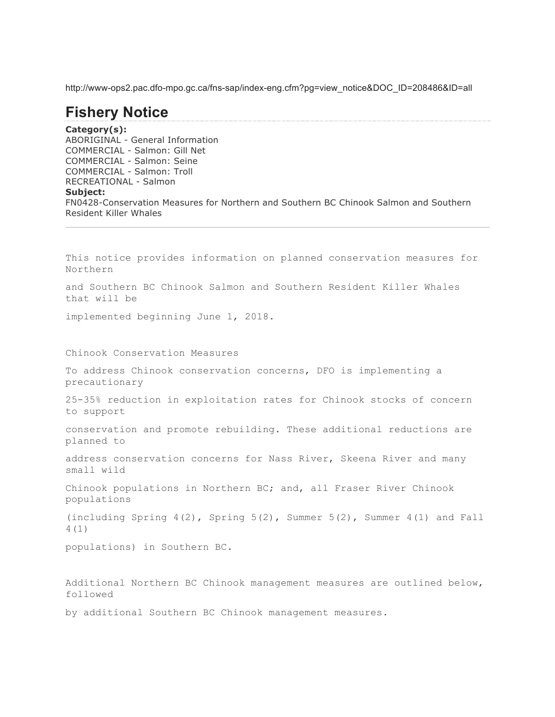http://www-ops2.pac.dfo-mpo.gc.ca/fns-sap/index-eng.cfm?pg=view\_notice&DOC\_ID=208486&ID=all

## **Fishery Notice**

**Category(s):** ABORIGINAL - General Information COMMERCIAL - Salmon: Gill Net COMMERCIAL - Salmon: Seine COMMERCIAL - Salmon: Troll RECREATIONAL - Salmon **Subject:** FN0428-Conservation Measures for Northern and Southern BC Chinook Salmon and Southern Resident Killer Whales

This notice provides information on planned conservation measures for Northern and Southern BC Chinook Salmon and Southern Resident Killer Whales that will be implemented beginning June 1, 2018. Chinook Conservation Measures To address Chinook conservation concerns, DFO is implementing a precautionary 25-35% reduction in exploitation rates for Chinook stocks of concern to support conservation and promote rebuilding. These additional reductions are planned to address conservation concerns for Nass River, Skeena River and many small wild Chinook populations in Northern BC; and, all Fraser River Chinook populations (including Spring 4(2), Spring 5(2), Summer 5(2), Summer 4(1) and Fall 4(1) populations) in Southern BC.

Additional Northern BC Chinook management measures are outlined below, followed

by additional Southern BC Chinook management measures.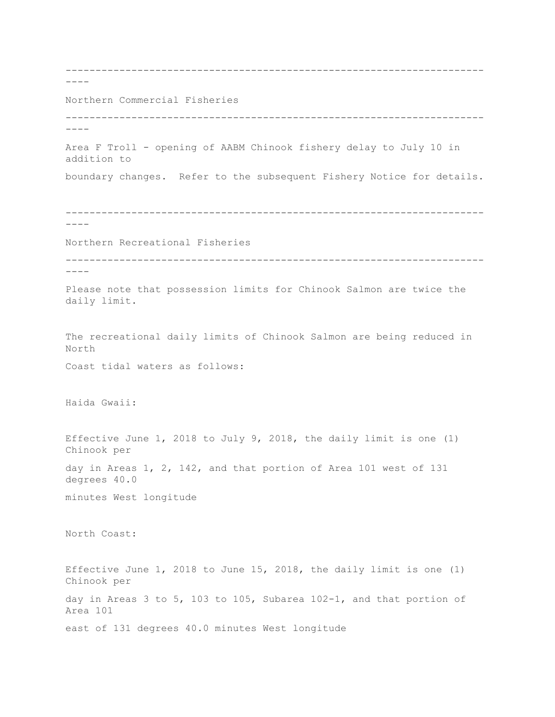---------------------------------------------------------------------- ---- Northern Commercial Fisheries ----------------------------------------------------------------------  $-$ Area F Troll - opening of AABM Chinook fishery delay to July 10 in addition to boundary changes. Refer to the subsequent Fishery Notice for details. ----------------------------------------------------------------------  $----$ Northern Recreational Fisheries ---------------------------------------------------------------------- ---- Please note that possession limits for Chinook Salmon are twice the daily limit. The recreational daily limits of Chinook Salmon are being reduced in North Coast tidal waters as follows: Haida Gwaii: Effective June 1, 2018 to July 9, 2018, the daily limit is one (1) Chinook per day in Areas 1, 2, 142, and that portion of Area 101 west of 131 degrees 40.0 minutes West longitude North Coast: Effective June 1, 2018 to June 15, 2018, the daily limit is one (1) Chinook per day in Areas 3 to 5, 103 to 105, Subarea 102-1, and that portion of Area 101 east of 131 degrees 40.0 minutes West longitude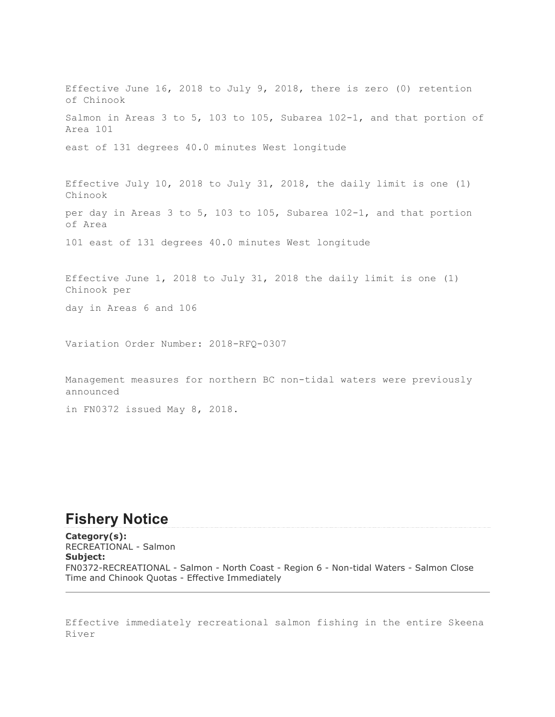Effective June 16, 2018 to July 9, 2018, there is zero (0) retention of Chinook Salmon in Areas 3 to 5, 103 to 105, Subarea 102-1, and that portion of Area 101 east of 131 degrees 40.0 minutes West longitude

Effective July 10, 2018 to July 31, 2018, the daily limit is one (1) Chinook per day in Areas 3 to 5, 103 to 105, Subarea 102-1, and that portion of Area 101 east of 131 degrees 40.0 minutes West longitude

Effective June 1, 2018 to July 31, 2018 the daily limit is one (1) Chinook per

day in Areas 6 and 106

Variation Order Number: 2018-RFQ-0307

Management measures for northern BC non-tidal waters were previously announced

in FN0372 issued May 8, 2018.

## **Fishery Notice**

**Category(s):** RECREATIONAL - Salmon **Subject:** FN0372-RECREATIONAL - Salmon - North Coast - Region 6 - Non-tidal Waters - Salmon Close Time and Chinook Quotas - Effective Immediately

Effective immediately recreational salmon fishing in the entire Skeena River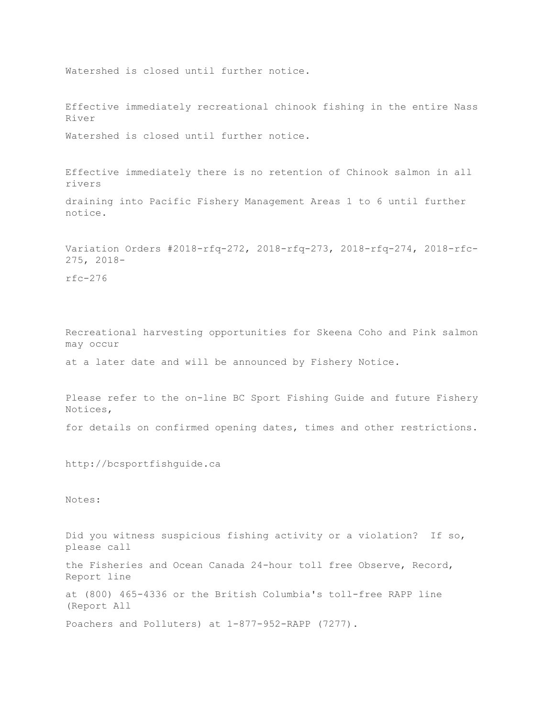Watershed is closed until further notice.

Effective immediately recreational chinook fishing in the entire Nass River Watershed is closed until further notice.

Effective immediately there is no retention of Chinook salmon in all

draining into Pacific Fishery Management Areas 1 to 6 until further notice.

Variation Orders #2018-rfq-272, 2018-rfq-273, 2018-rfq-274, 2018-rfc-275, 2018 rfc-276

Recreational harvesting opportunities for Skeena Coho and Pink salmon may occur

at a later date and will be announced by Fishery Notice.

Please refer to the on-line BC Sport Fishing Guide and future Fishery Notices, for details on confirmed opening dates, times and other restrictions.

http://bcsportfishguide.ca

Notes:

rivers

Did you witness suspicious fishing activity or a violation? If so, please call the Fisheries and Ocean Canada 24-hour toll free Observe, Record, Report line at (800) 465-4336 or the British Columbia's toll-free RAPP line (Report All Poachers and Polluters) at 1-877-952-RAPP (7277).